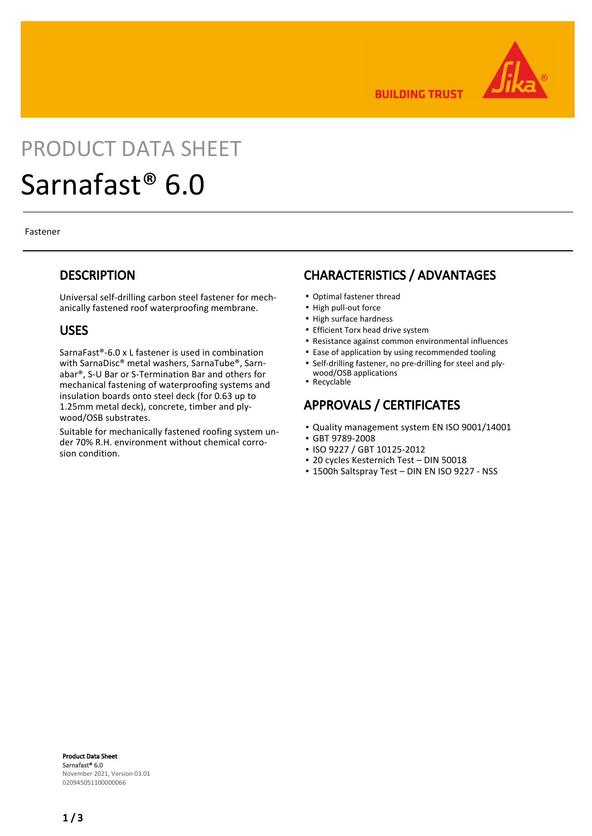

**BUILDING TRUST** 

# PRODUCT DATA SHEET Sarnafast® 6.0

Fastener

#### **DESCRIPTION**

Universal self-drilling carbon steel fastener for mechanically fastened roof waterproofing membrane.

#### USES

SarnaFast®-6.0 x L fastener is used in combination with SarnaDisc® metal washers, SarnaTube®, Sarnabar®, S-U Bar or S-Termination Bar and others for mechanical fastening of waterproofing systems and insulation boards onto steel deck (for 0.63 up to 1.25mm metal deck), concrete, timber and plywood/OSB substrates.

Suitable for mechanically fastened roofing system under 70% R.H. environment without chemical corrosion condition.

#### CHARACTERISTICS / ADVANTAGES

- Optimal fastener thread
- High pull-out force
- High surface hardness
- **Efficient Torx head drive system**
- Resistance against common environmental influences
- **Ease of application by using recommended tooling**
- Self-drilling fastener, no pre-drilling for steel and plywood/OSB applications
- Recyclable

### APPROVALS / CERTIFICATES

- Quality management system EN ISO 9001/14001
- GBT 9789-2008
- ISO 9227 / GBT 10125-2012
- 20 cycles Kesternich Test DIN 50018
- 1500h Saltspray Test DIN EN ISO 9227 NSS

Product Data Sheet Sarnafast® 6.0 November 2021, Version 03.01 020945051100000066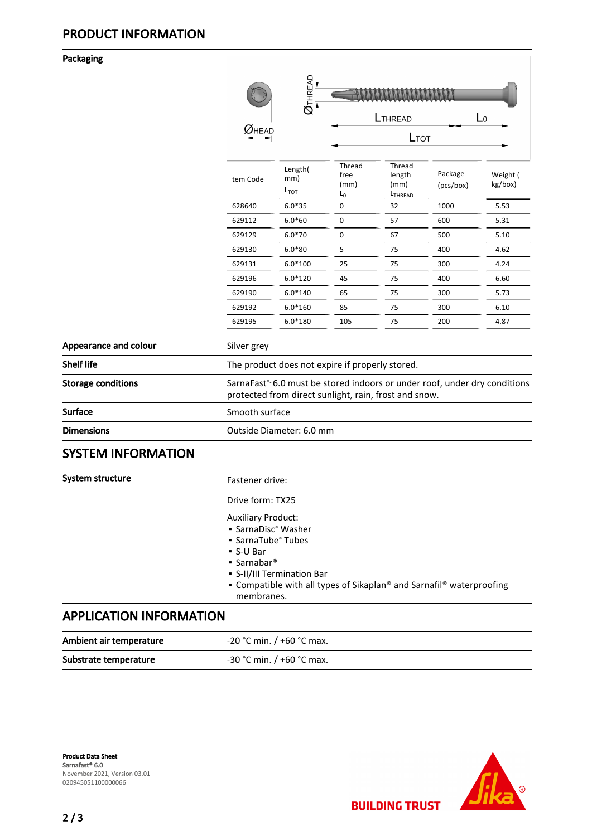#### Packaging

|                           |                                                                                                                                    | $\overline{\mathcal{O}}$ THREAD    | $\mathsf{L}_0$<br>LTHREAD<br>LTOT |                                                 |                      |                     |
|---------------------------|------------------------------------------------------------------------------------------------------------------------------------|------------------------------------|-----------------------------------|-------------------------------------------------|----------------------|---------------------|
|                           | $\pmb{\mathcal{W}}$ head                                                                                                           |                                    |                                   |                                                 |                      |                     |
|                           | tem Code                                                                                                                           | Length(<br>mm)<br>L <sub>TOT</sub> | Thread<br>free<br>(mm)<br>$L_0$   | Thread<br>length<br>(mm)<br>L <sub>THREAD</sub> | Package<br>(pcs/box) | Weight (<br>kg/box) |
|                           | 628640                                                                                                                             | $6.0*35$                           | 0                                 | 32                                              | 1000                 | 5.53                |
|                           | 629112                                                                                                                             | $6.0*60$                           | 0                                 | 57                                              | 600                  | 5.31                |
|                           | 629129                                                                                                                             | $6.0*70$                           | 0                                 | 67                                              | 500                  | 5.10                |
|                           | 629130                                                                                                                             | $6.0*80$                           | 5                                 | 75                                              | 400                  | 4.62                |
|                           | 629131                                                                                                                             | $6.0*100$                          | 25                                | 75                                              | 300                  | 4.24                |
|                           | 629196                                                                                                                             | $6.0*120$                          | 45                                | 75                                              | 400                  | 6.60                |
|                           | 629190                                                                                                                             | $6.0*140$                          | 65                                | 75                                              | 300                  | 5.73                |
|                           | 629192                                                                                                                             | $6.0*160$                          | 85                                | 75                                              | 300                  | 6.10                |
|                           | 629195                                                                                                                             | $6.0*180$                          | 105                               | 75                                              | 200                  | 4.87                |
| Appearance and colour     | Silver grey                                                                                                                        |                                    |                                   |                                                 |                      |                     |
| <b>Shelf life</b>         | The product does not expire if properly stored.                                                                                    |                                    |                                   |                                                 |                      |                     |
| <b>Storage conditions</b> | SarnaFast® 6.0 must be stored indoors or under roof, under dry conditions<br>protected from direct sunlight, rain, frost and snow. |                                    |                                   |                                                 |                      |                     |
| <b>Surface</b>            | Smooth surface                                                                                                                     |                                    |                                   |                                                 |                      |                     |
| <b>Dimensions</b>         | Outside Diameter: 6.0 mm                                                                                                           |                                    |                                   |                                                 |                      |                     |
| <b>SYSTEM INFORMATION</b> |                                                                                                                                    |                                    |                                   |                                                 |                      |                     |
| System structure          | Fastener drive:                                                                                                                    |                                    |                                   |                                                 |                      |                     |
|                           | Drive form: TX25                                                                                                                   |                                    |                                   |                                                 |                      |                     |
|                           | <b>Auxiliary Product:</b><br>· SarnaDisc® Washer<br>• SarnaTube® Tubes<br>• S-U Bar                                                |                                    |                                   |                                                 |                      |                     |

- Sarnabar®
- S-II/III Termination Bar
- Compatible with all types of Sikaplan® and Sarnafil® waterproofing membranes.

**BUILDING TRUST** 

### APPLICATION INFORMATION

| Ambient air temperature | -20 °C min. / +60 °C max.   |
|-------------------------|-----------------------------|
| Substrate temperature   | $-30$ °C min. / +60 °C max. |

Product Data Sheet Sarnafast® 6.0 November 2021, Version 03.01 020945051100000066